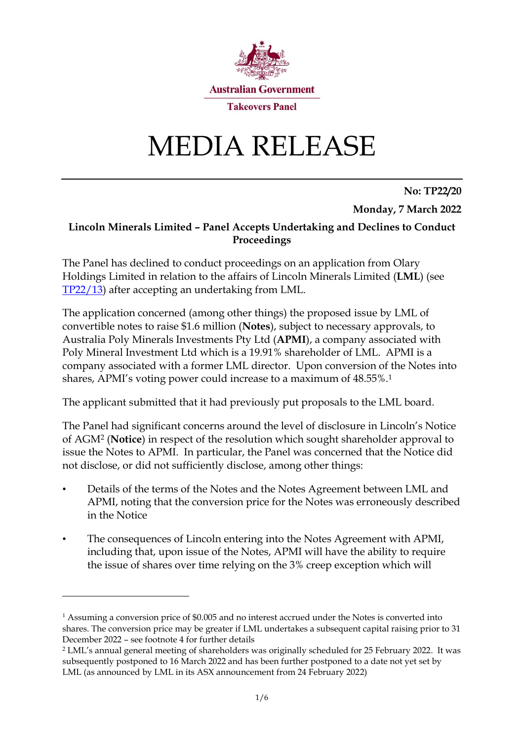

# MEDIA RELEASE

**No: TP22/20 Monday, 7 March 2022**

#### **Lincoln Minerals Limited – Panel Accepts Undertaking and Declines to Conduct Proceedings**

The Panel has declined to conduct proceedings on an application from Olary Holdings Limited in relation to the affairs of Lincoln Minerals Limited (**LML**) (see [TP22/1](https://www.takeovers.gov.au/content/DisplayDoc.aspx?doc=media_releases/2022/013.htm&pageID=&Year=)3) after accepting an undertaking from LML.

The application concerned (among other things) the proposed issue by LML of convertible notes to raise \$1.6 million (**Notes**), subject to necessary approvals, to Australia Poly Minerals Investments Pty Ltd (**APMI**), a company associated with Poly Mineral Investment Ltd which is a 19.91% shareholder of LML. APMI is a company associated with a former LML director. Upon conversion of the Notes into shares, APMI's voting power could increase to a maximum of 48.55%.<sup>1</sup>

The applicant submitted that it had previously put proposals to the LML board.

The Panel had significant concerns around the level of disclosure in Lincoln's Notice of AGM<sup>2</sup> (**Notice**) in respect of the resolution which sought shareholder approval to issue the Notes to APMI. In particular, the Panel was concerned that the Notice did not disclose, or did not sufficiently disclose, among other things:

- Details of the terms of the Notes and the Notes Agreement between LML and APMI, noting that the conversion price for the Notes was erroneously described in the Notice
- The consequences of Lincoln entering into the Notes Agreement with APMI, including that, upon issue of the Notes, APMI will have the ability to require the issue of shares over time relying on the 3% creep exception which will

<sup>&</sup>lt;sup>1</sup> Assuming a conversion price of \$0.005 and no interest accrued under the Notes is converted into shares. The conversion price may be greater if LML undertakes a subsequent capital raising prior to 31 December 2022 – see footnote 4 for further details

<sup>2</sup> LML's annual general meeting of shareholders was originally scheduled for 25 February 2022. It was subsequently postponed to 16 March 2022 and has been further postponed to a date not yet set by LML (as announced by LML in its ASX announcement from 24 February 2022)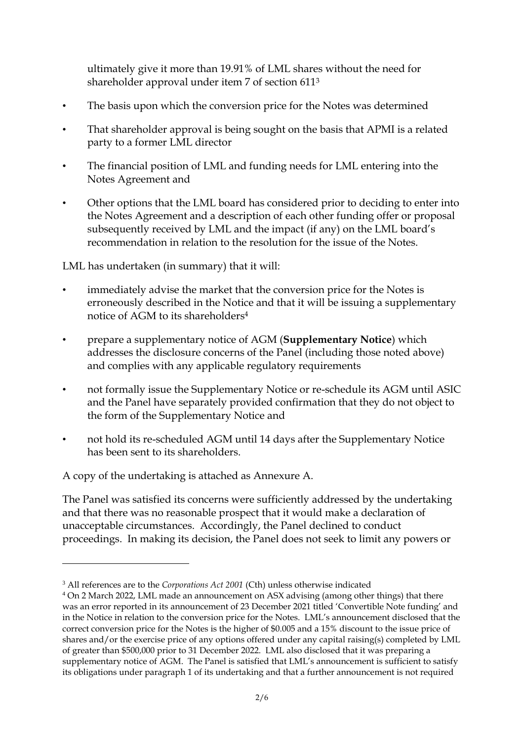ultimately give it more than 19.91% of LML shares without the need for shareholder approval under item 7 of section 611<sup>3</sup>

- The basis upon which the conversion price for the Notes was determined
- That shareholder approval is being sought on the basis that APMI is a related party to a former LML director
- The financial position of LML and funding needs for LML entering into the Notes Agreement and
- Other options that the LML board has considered prior to deciding to enter into the Notes Agreement and a description of each other funding offer or proposal subsequently received by LML and the impact (if any) on the LML board's recommendation in relation to the resolution for the issue of the Notes.

LML has undertaken (in summary) that it will:

- immediately advise the market that the conversion price for the Notes is erroneously described in the Notice and that it will be issuing a supplementary notice of AGM to its shareholders 4
- prepare a supplementary notice of AGM (**Supplementary Notice**) which addresses the disclosure concerns of the Panel (including those noted above) and complies with any applicable regulatory requirements
- not formally issue the Supplementary Notice or re-schedule its AGM until ASIC and the Panel have separately provided confirmation that they do not object to the form of the Supplementary Notice and
- not hold its re-scheduled AGM until 14 days after the Supplementary Notice has been sent to its shareholders.

A copy of the undertaking is attached as Annexure A.

The Panel was satisfied its concerns were sufficiently addressed by the undertaking and that there was no reasonable prospect that it would make a declaration of unacceptable circumstances. Accordingly, the Panel declined to conduct proceedings. In making its decision, the Panel does not seek to limit any powers or

<sup>3</sup> All references are to the *Corporations Act 2001* (Cth) unless otherwise indicated

<sup>4</sup> On 2 March 2022, LML made an announcement on ASX advising (among other things) that there was an error reported in its announcement of 23 December 2021 titled 'Convertible Note funding' and in the Notice in relation to the conversion price for the Notes. LML's announcement disclosed that the correct conversion price for the Notes is the higher of \$0.005 and a 15% discount to the issue price of shares and/or the exercise price of any options offered under any capital raising(s) completed by LML of greater than \$500,000 prior to 31 December 2022. LML also disclosed that it was preparing a supplementary notice of AGM. The Panel is satisfied that LML's announcement is sufficient to satisfy its obligations under paragraph 1 of its undertaking and that a further announcement is not required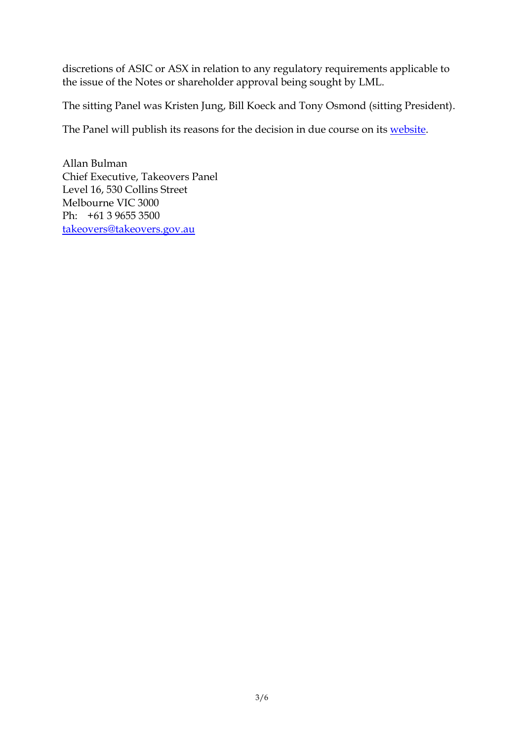discretions of ASIC or ASX in relation to any regulatory requirements applicable to the issue of the Notes or shareholder approval being sought by LML.

The sitting Panel was Kristen Jung, Bill Koeck and Tony Osmond (sitting President).

The Panel will publish its reasons for the decision in due course on its [website.](https://www.takeovers.gov.au/content/DisplayDoc.aspx?doc=media_releases/2022/001.htm&pageID=&Year=)

Allan Bulman Chief Executive, Takeovers Panel Level 16, 530 Collins Street Melbourne VIC 3000 Ph: +61 3 9655 3500 [takeovers@takeovers.gov.au](mailto:takeovers@takeovers.gov.au)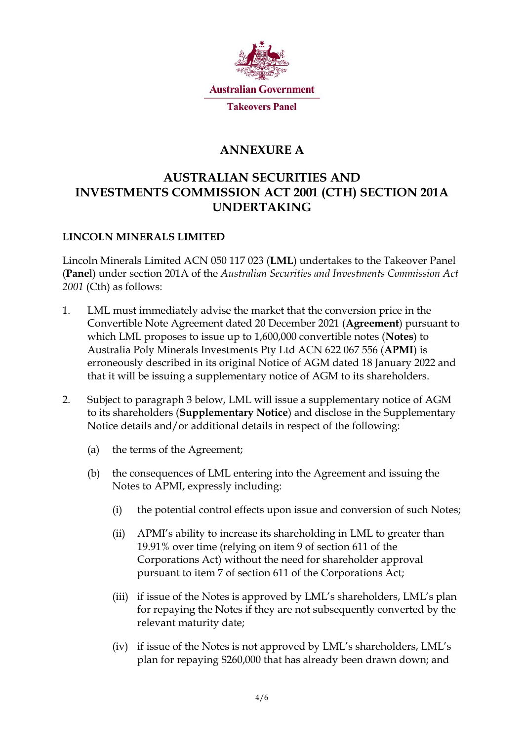

## **ANNEXURE A**

## **AUSTRALIAN SECURITIES AND INVESTMENTS COMMISSION ACT 2001 (CTH) SECTION 201A UNDERTAKING**

### **LINCOLN MINERALS LIMITED**

Lincoln Minerals Limited ACN 050 117 023 (**LML**) undertakes to the Takeover Panel (**Pane**l) under section 201A of the *Australian Securities and Investments Commission Act 2001* (Cth) as follows:

- 1. LML must immediately advise the market that the conversion price in the Convertible Note Agreement dated 20 December 2021 (**Agreement**) pursuant to which LML proposes to issue up to 1,600,000 convertible notes (**Notes**) to Australia Poly Minerals Investments Pty Ltd ACN 622 067 556 (**APMI**) is erroneously described in its original Notice of AGM dated 18 January 2022 and that it will be issuing a supplementary notice of AGM to its shareholders.
- 2. Subject to paragraph 3 below, LML will issue a supplementary notice of AGM to its shareholders (**Supplementary Notice**) and disclose in the Supplementary Notice details and/or additional details in respect of the following:
	- (a) the terms of the Agreement;
	- (b) the consequences of LML entering into the Agreement and issuing the Notes to APMI, expressly including:
		- (i) the potential control effects upon issue and conversion of such Notes;
		- (ii) APMI's ability to increase its shareholding in LML to greater than 19.91% over time (relying on item 9 of section 611 of the Corporations Act) without the need for shareholder approval pursuant to item 7 of section 611 of the Corporations Act;
		- (iii) if issue of the Notes is approved by LML's shareholders, LML's plan for repaying the Notes if they are not subsequently converted by the relevant maturity date;
		- (iv) if issue of the Notes is not approved by LML's shareholders, LML's plan for repaying \$260,000 that has already been drawn down; and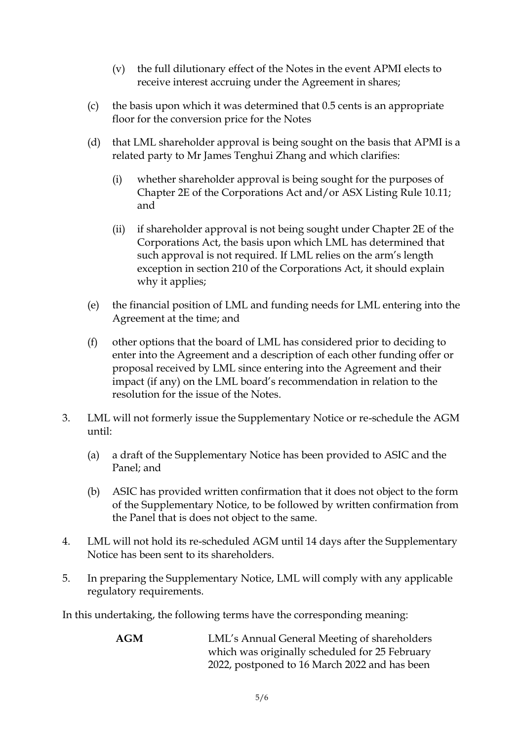- (v) the full dilutionary effect of the Notes in the event APMI elects to receive interest accruing under the Agreement in shares;
- (c) the basis upon which it was determined that 0.5 cents is an appropriate floor for the conversion price for the Notes
- (d) that LML shareholder approval is being sought on the basis that APMI is a related party to Mr James Tenghui Zhang and which clarifies:
	- (i) whether shareholder approval is being sought for the purposes of Chapter 2E of the Corporations Act and/or ASX Listing Rule 10.11; and
	- (ii) if shareholder approval is not being sought under Chapter 2E of the Corporations Act, the basis upon which LML has determined that such approval is not required. If LML relies on the arm's length exception in section 210 of the Corporations Act, it should explain why it applies;
- (e) the financial position of LML and funding needs for LML entering into the Agreement at the time; and
- (f) other options that the board of LML has considered prior to deciding to enter into the Agreement and a description of each other funding offer or proposal received by LML since entering into the Agreement and their impact (if any) on the LML board's recommendation in relation to the resolution for the issue of the Notes.
- 3. LML will not formerly issue the Supplementary Notice or re-schedule the AGM until:
	- (a) a draft of the Supplementary Notice has been provided to ASIC and the Panel; and
	- (b) ASIC has provided written confirmation that it does not object to the form of the Supplementary Notice, to be followed by written confirmation from the Panel that is does not object to the same.
- 4. LML will not hold its re-scheduled AGM until 14 days after the Supplementary Notice has been sent to its shareholders.
- 5. In preparing the Supplementary Notice, LML will comply with any applicable regulatory requirements.

In this undertaking, the following terms have the corresponding meaning:

**AGM** LML's Annual General Meeting of shareholders which was originally scheduled for 25 February 2022, postponed to 16 March 2022 and has been